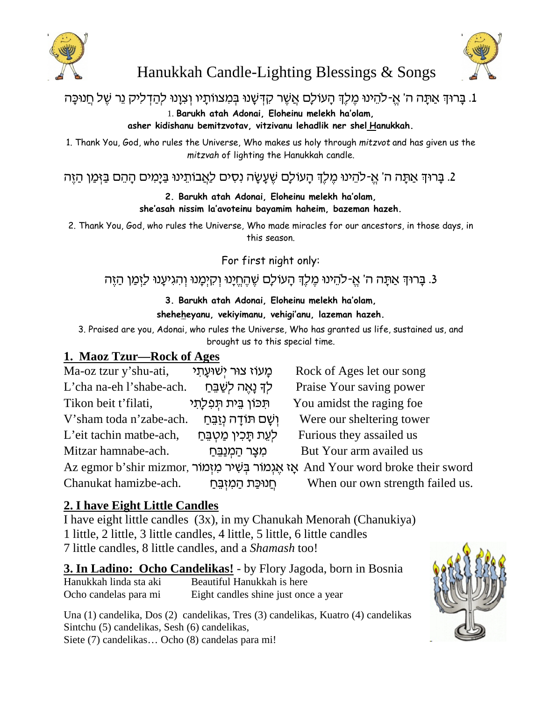



# Hanukkah Candle-Lighting Blessings & Songs

# . בַּרוּךְ אֲתָה ה' אֵ-להֵינוּ מֵלֵךְ הַעוֹלַם אֲשֵׁר קִדְּשָׁנוּ בִּמִצווֹתַיו וְצְוָנוּ לִהַדְלִיק נֵר שֵׁל חֲנוּכַּה

1. **Barukh atah Adonai, Eloheinu melekh ha'olam,**

**asher kidishanu bemitzvotav, vitzivanu lehadlik ner shel Hanukkah.**

1. Thank You, God, who rules the Universe, Who makes us holy through *mitzvot* and has given us the *mitzvah* of lighting the Hanukkah candle.

. בַּרוּךְ אַתָּה ה' אֵ-להֵינוּ מֶלֶךְ הָעוֹלָם שֵׁעֲשָׂה נְסִים לַאֲבוֹתֵינוּ בַּיָּמִים הָהֵם בַּזְּמַן הַזֵּה

**2. Barukh atah Adonai, Eloheinu melekh ha'olam, she'asah nissim la'avoteinu bayamim haheim, bazeman hazeh.**

2. Thank You, God, who rules the Universe, Who made miracles for our ancestors, in those days, in this season.

For first night only:

## 3. בַּרוּדְּ אֲתַּה ה' אֱ-לֹהֵינוּ מֶלֶדְ הַעוֹלַם שֶׁהֶחֱיַנוּ וְקָיִמֲנוּ וְהָגִיעֲנוּ לַזָּמַן הַזֶּה

### **3. Barukh atah Adonai, Eloheinu melekh ha'olam, sheheheyanu, vekiyimanu, vehigi'anu, lazeman hazeh.**

3. Praised are you, Adonai, who rules the Universe, Who has granted us life, sustained us, and brought us to this special time.

### **1. Maoz Tzur—Rock of Ages**

| Ma-oz tzur y'shu-ati,                                                                 | מַעוֹז צוּר יִשׁוּעַתָי   | Rock of Ages let our song        |
|---------------------------------------------------------------------------------------|---------------------------|----------------------------------|
| L'cha na-eh l'shabe-ach.                                                              | לך נָאֵה לְשַׁבֵּחַ       | Praise Your saving power         |
| Tikon beit t'filati,                                                                  | ּתִּכּוֹן בֵית תִּפְלַתִי | You amidst the raging foe        |
| V'sham toda n'zabe-ach.                                                               | וְשַׁם תּוֹדָה נְזַבֵּחַ  | Were our sheltering tower        |
| L'eit tachin matbe-ach,                                                               | לְעֵת תָּכִין מַטְבֵּחַ   | Furious they assailed us         |
| Mitzar hamnabe-ach.                                                                   | ְמִצַר הַמְנַבֵּחַ        | But Your arm availed us          |
| Az egmor b'shir mizmor, אַ אֲגְמוֹר בִּשְׁיר מִזְמוֹר And Your word broke their sword |                           |                                  |
| Chanukat hamizbe-ach.                                                                 | חֲנוּכַּת הַמְזָבֵּחַ     | When our own strength failed us. |

# **2. I have Eight Little Candles**

I have eight little candles (3x), in my Chanukah Menorah (Chanukiya) 1 little, 2 little, 3 little candles, 4 little, 5 little, 6 little candles 7 little candles, 8 little candles, and a *Shamash* too!

**3. In Ladino: Ocho Candelikas!** - by Flory Jagoda, born in Bosnia Hanukkah linda sta aki Beautiful Hanukkah is here Ocho candelas para mi Eight candles shine just once a year

Una (1) candelika, Dos (2) candelikas, Tres (3) candelikas, Kuatro (4) candelikas Sintchu (5) candelikas, Sesh (6) candelikas, Siete (7) candelikas… Ocho (8) candelas para mi!